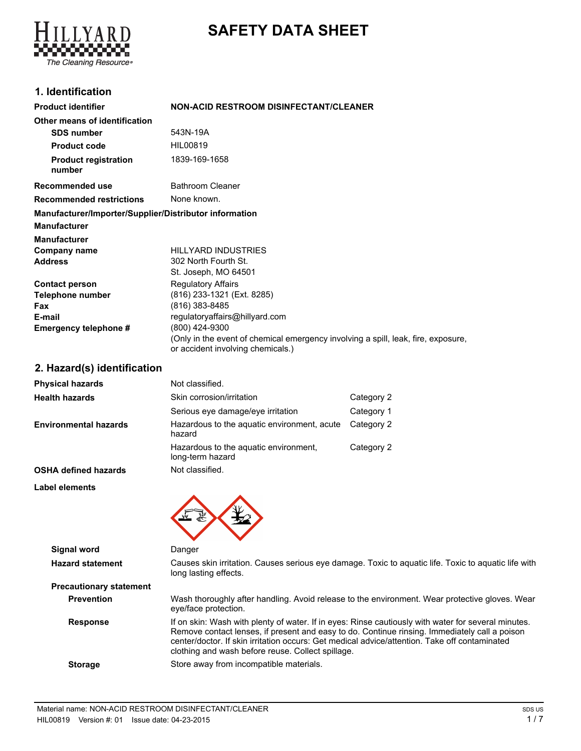# **SAFETY DATA SHEET**



## **1. Identification**

| <b>Product identifier</b>                              | <b>NON-ACID RESTROOM DISINFECTANT/CLEANER</b>                                                                          |
|--------------------------------------------------------|------------------------------------------------------------------------------------------------------------------------|
| Other means of identification                          |                                                                                                                        |
| <b>SDS number</b>                                      | 543N-19A                                                                                                               |
| <b>Product code</b>                                    | HIL00819                                                                                                               |
| <b>Product registration</b><br>number                  | 1839-169-1658                                                                                                          |
| Recommended use                                        | <b>Bathroom Cleaner</b>                                                                                                |
| <b>Recommended restrictions</b>                        | None known.                                                                                                            |
| Manufacturer/Importer/Supplier/Distributor information |                                                                                                                        |
| Manufacturer                                           |                                                                                                                        |
| Manufacturer                                           |                                                                                                                        |
| Company name                                           | <b>HILLYARD INDUSTRIES</b>                                                                                             |
| Address                                                | 302 North Fourth St.                                                                                                   |
|                                                        | St. Joseph, MO 64501                                                                                                   |
| <b>Contact person</b>                                  | <b>Regulatory Affairs</b>                                                                                              |
| Telephone number                                       | (816) 233-1321 (Ext. 8285)                                                                                             |
| Fax                                                    | (816) 383-8485                                                                                                         |
| E-mail                                                 | regulatoryaffairs@hillyard.com                                                                                         |
| Emergency telephone #                                  | (800) 424-9300                                                                                                         |
|                                                        | (Only in the event of chemical emergency involving a spill, leak, fire, exposure,<br>or accident involving chemicals.) |

## **2. Hazard(s) identification**

| <b>Physical hazards</b>      | Not classified.                                           |            |
|------------------------------|-----------------------------------------------------------|------------|
| <b>Health hazards</b>        | Skin corrosion/irritation                                 | Category 2 |
|                              | Serious eye damage/eye irritation                         | Category 1 |
| <b>Environmental hazards</b> | Hazardous to the aquatic environment, acute<br>hazard     | Category 2 |
|                              | Hazardous to the aquatic environment,<br>long-term hazard | Category 2 |
| <b>OSHA defined hazards</b>  | Not classified.                                           |            |
| Label elements               |                                                           |            |
|                              |                                                           |            |

| Signal word                    | Danger                                                                                                                                                                                                                                                                                                                                                     |
|--------------------------------|------------------------------------------------------------------------------------------------------------------------------------------------------------------------------------------------------------------------------------------------------------------------------------------------------------------------------------------------------------|
| <b>Hazard statement</b>        | Causes skin irritation. Causes serious eye damage. Toxic to aquatic life. Toxic to aquatic life with<br>long lasting effects.                                                                                                                                                                                                                              |
| <b>Precautionary statement</b> |                                                                                                                                                                                                                                                                                                                                                            |
| <b>Prevention</b>              | Wash thoroughly after handling. Avoid release to the environment. Wear protective gloves. Wear<br>eye/face protection.                                                                                                                                                                                                                                     |
| <b>Response</b>                | If on skin: Wash with plenty of water. If in eyes: Rinse cautiously with water for several minutes.<br>Remove contact lenses, if present and easy to do. Continue rinsing. Immediately call a poison<br>center/doctor. If skin irritation occurs: Get medical advice/attention. Take off contaminated<br>clothing and wash before reuse. Collect spillage. |
| <b>Storage</b>                 | Store away from incompatible materials.                                                                                                                                                                                                                                                                                                                    |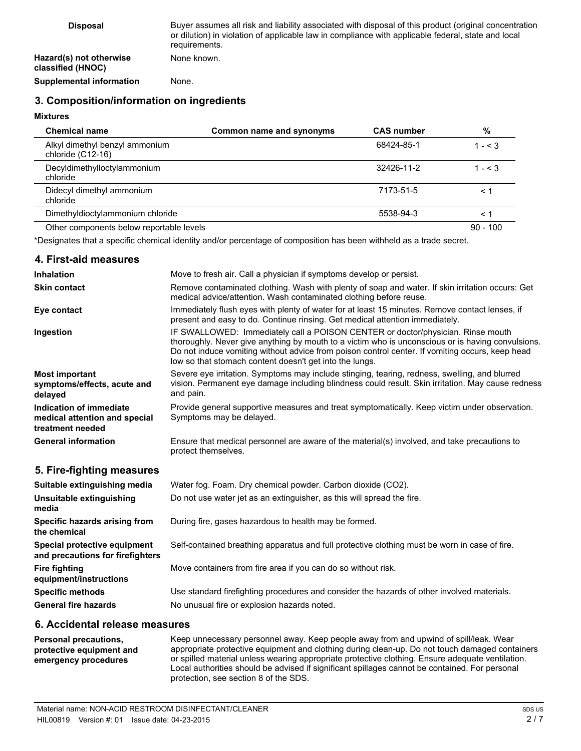| <b>Disposal</b>                              | Buyer assumes all risk and liability associated with disposal of this product (original concentration<br>or dilution) in violation of applicable law in compliance with applicable federal, state and local<br>requirements. |
|----------------------------------------------|------------------------------------------------------------------------------------------------------------------------------------------------------------------------------------------------------------------------------|
| Hazard(s) not otherwise<br>classified (HNOC) | None known.                                                                                                                                                                                                                  |
| <b>Supplemental information</b>              | None.                                                                                                                                                                                                                        |
|                                              |                                                                                                                                                                                                                              |

## **3. Composition/information on ingredients**

### **Mixtures**

| <b>Chemical name</b>                                | Common name and synonyms | <b>CAS number</b> | %          |
|-----------------------------------------------------|--------------------------|-------------------|------------|
| Alkyl dimethyl benzyl ammonium<br>chloride (C12-16) |                          | 68424-85-1        | $1 - < 3$  |
| Decyldimethylloctylammonium<br>chloride             |                          | 32426-11-2        | $1 - 5.3$  |
| Didecyl dimethyl ammonium<br>chloride               |                          | 7173-51-5         | ≺ 1        |
| Dimethyldioctylammonium chloride                    |                          | 5538-94-3         | ≺ 1        |
| Other components below reportable levels            |                          |                   | $90 - 100$ |

\*Designates that a specific chemical identity and/or percentage of composition has been withheld as a trade secret.

#### **4. First-aid measures**

| <b>Inhalation</b>                                                            | Move to fresh air. Call a physician if symptoms develop or persist.                                                                                                                                                                                                                                                                                |
|------------------------------------------------------------------------------|----------------------------------------------------------------------------------------------------------------------------------------------------------------------------------------------------------------------------------------------------------------------------------------------------------------------------------------------------|
| <b>Skin contact</b>                                                          | Remove contaminated clothing. Wash with plenty of soap and water. If skin irritation occurs: Get<br>medical advice/attention. Wash contaminated clothing before reuse.                                                                                                                                                                             |
| Eye contact                                                                  | Immediately flush eyes with plenty of water for at least 15 minutes. Remove contact lenses, if<br>present and easy to do. Continue rinsing. Get medical attention immediately.                                                                                                                                                                     |
| Ingestion                                                                    | IF SWALLOWED: Immediately call a POISON CENTER or doctor/physician. Rinse mouth<br>thoroughly. Never give anything by mouth to a victim who is unconscious or is having convulsions.<br>Do not induce vomiting without advice from poison control center. If vomiting occurs, keep head<br>low so that stomach content doesn't get into the lungs. |
| <b>Most important</b><br>symptoms/effects, acute and<br>delayed              | Severe eye irritation. Symptoms may include stinging, tearing, redness, swelling, and blurred<br>vision. Permanent eye damage including blindness could result. Skin irritation. May cause redness<br>and pain.                                                                                                                                    |
| Indication of immediate<br>medical attention and special<br>treatment needed | Provide general supportive measures and treat symptomatically. Keep victim under observation.<br>Symptoms may be delayed.                                                                                                                                                                                                                          |
| <b>General information</b>                                                   | Ensure that medical personnel are aware of the material(s) involved, and take precautions to<br>protect themselves.                                                                                                                                                                                                                                |
| 5. Fire-fighting measures                                                    |                                                                                                                                                                                                                                                                                                                                                    |
| Suitable extinguishing media                                                 | Water fog. Foam. Dry chemical powder. Carbon dioxide (CO2).                                                                                                                                                                                                                                                                                        |
| Unsuitable extinguishing                                                     | Do not use water jet as an extinguisher, as this will spread the fire.                                                                                                                                                                                                                                                                             |

| Unsuitable extinguishing<br>media                                | Do not use water jet as an extinguisher, as this will spread the fire.                        |
|------------------------------------------------------------------|-----------------------------------------------------------------------------------------------|
| Specific hazards arising from<br>the chemical                    | During fire, gases hazardous to health may be formed.                                         |
| Special protective equipment<br>and precautions for firefighters | Self-contained breathing apparatus and full protective clothing must be worn in case of fire. |
| <b>Fire fighting</b><br>equipment/instructions                   | Move containers from fire area if you can do so without risk.                                 |
| <b>Specific methods</b>                                          | Use standard firefighting procedures and consider the hazards of other involved materials.    |
| <b>General fire hazards</b>                                      | No unusual fire or explosion hazards noted.                                                   |

#### **6. Accidental release measures**

| <b>Personal precautions.</b> | Keep unnecessary personnel away. Keep people away from and upwind of spill/leak. Wear            |
|------------------------------|--------------------------------------------------------------------------------------------------|
| protective equipment and     | appropriate protective equipment and clothing during clean-up. Do not touch damaged containers   |
| emergency procedures         | or spilled material unless wearing appropriate protective clothing. Ensure adequate ventilation. |
|                              | Local authorities should be advised if significant spillages cannot be contained. For personal   |
|                              | protection, see section 8 of the SDS.                                                            |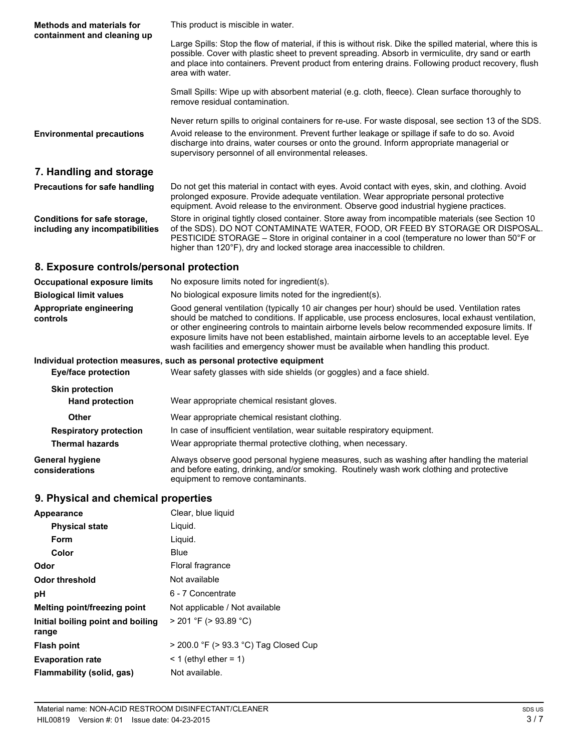| <b>Methods and materials for</b><br>containment and cleaning up | This product is miscible in water.                                                                                                                                                                                                                                                                                                                              |
|-----------------------------------------------------------------|-----------------------------------------------------------------------------------------------------------------------------------------------------------------------------------------------------------------------------------------------------------------------------------------------------------------------------------------------------------------|
|                                                                 | Large Spills: Stop the flow of material, if this is without risk. Dike the spilled material, where this is<br>possible. Cover with plastic sheet to prevent spreading. Absorb in vermiculite, dry sand or earth<br>and place into containers. Prevent product from entering drains. Following product recovery, flush<br>area with water.                       |
|                                                                 | Small Spills: Wipe up with absorbent material (e.g. cloth, fleece). Clean surface thoroughly to<br>remove residual contamination.                                                                                                                                                                                                                               |
| <b>Environmental precautions</b>                                | Never return spills to original containers for re-use. For waste disposal, see section 13 of the SDS.<br>Avoid release to the environment. Prevent further leakage or spillage if safe to do so. Avoid<br>discharge into drains, water courses or onto the ground. Inform appropriate managerial or<br>supervisory personnel of all environmental releases.     |
| 7. Handling and storage                                         |                                                                                                                                                                                                                                                                                                                                                                 |
| <b>Precautions for safe handling</b>                            | Do not get this material in contact with eyes. Avoid contact with eyes, skin, and clothing. Avoid<br>prolonged exposure. Provide adequate ventilation. Wear appropriate personal protective<br>equipment. Avoid release to the environment. Observe good industrial hygiene practices.                                                                          |
| Conditions for safe storage,<br>including any incompatibilities | Store in original tightly closed container. Store away from incompatible materials (see Section 10<br>of the SDS). DO NOT CONTAMINATE WATER, FOOD, OR FEED BY STORAGE OR DISPOSAL.<br>PESTICIDE STORAGE – Store in original container in a cool (temperature no lower than 50°F or<br>higher than 120°F), dry and locked storage area inaccessible to children. |
| 8. Exposure controls/personal protection                        |                                                                                                                                                                                                                                                                                                                                                                 |
| <b>Occupational exposure limits</b>                             | No exposure limits noted for ingredient(s).                                                                                                                                                                                                                                                                                                                     |

| <b>Biological limit values</b>                                        | No biological exposure limits noted for the ingredient(s).                                                                                                                                                                                                                                                                                                                                                                                                                                       |
|-----------------------------------------------------------------------|--------------------------------------------------------------------------------------------------------------------------------------------------------------------------------------------------------------------------------------------------------------------------------------------------------------------------------------------------------------------------------------------------------------------------------------------------------------------------------------------------|
| Appropriate engineering<br>controls                                   | Good general ventilation (typically 10 air changes per hour) should be used. Ventilation rates<br>should be matched to conditions. If applicable, use process enclosures, local exhaust ventilation,<br>or other engineering controls to maintain airborne levels below recommended exposure limits. If<br>exposure limits have not been established, maintain airborne levels to an acceptable level. Eye<br>wash facilities and emergency shower must be available when handling this product. |
| Individual protection measures, such as personal protective equipment |                                                                                                                                                                                                                                                                                                                                                                                                                                                                                                  |

| Eye/face protection                              | Wear safety glasses with side shields (or goggles) and a face shield.                                                                                                                                                       |  |
|--------------------------------------------------|-----------------------------------------------------------------------------------------------------------------------------------------------------------------------------------------------------------------------------|--|
| <b>Skin protection</b><br><b>Hand protection</b> | Wear appropriate chemical resistant gloves.                                                                                                                                                                                 |  |
| Other                                            | Wear appropriate chemical resistant clothing.                                                                                                                                                                               |  |
| <b>Respiratory protection</b>                    | In case of insufficient ventilation, wear suitable respiratory equipment.                                                                                                                                                   |  |
| <b>Thermal hazards</b>                           | Wear appropriate thermal protective clothing, when necessary.                                                                                                                                                               |  |
| General hygiene<br>considerations                | Always observe good personal hygiene measures, such as washing after handling the material<br>and before eating, drinking, and/or smoking. Routinely wash work clothing and protective<br>equipment to remove contaminants. |  |

## **9. Physical and chemical properties**

| Appearance                                 | Clear, blue liquid                    |
|--------------------------------------------|---------------------------------------|
| <b>Physical state</b>                      | Liquid.                               |
| Form                                       | Liquid.                               |
| Color                                      | Blue                                  |
| Odor                                       | Floral fragrance                      |
| Odor threshold                             | Not available                         |
| рH                                         | 6 - 7 Concentrate                     |
| Melting point/freezing point               | Not applicable / Not available        |
| Initial boiling point and boiling<br>range | $>$ 201 °F ( $>$ 93.89 °C)            |
| <b>Flash point</b>                         | > 200.0 °F (> 93.3 °C) Tag Closed Cup |
| <b>Evaporation rate</b>                    | $\leq$ 1 (ethyl ether = 1)            |
| Flammability (solid, gas)                  | Not available.                        |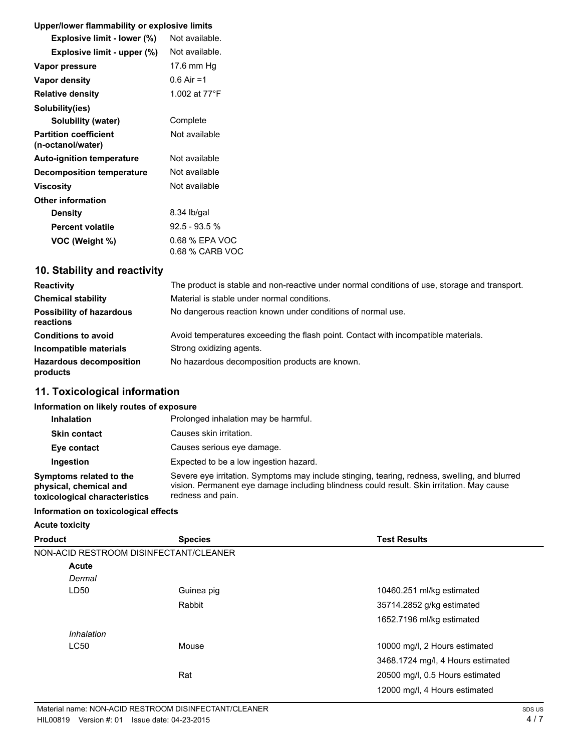### **Upper/lower flammability or explosive limits**

| Explosive limit - lower (%)                       | Not available.                    |
|---------------------------------------------------|-----------------------------------|
| Explosive limit - upper (%)                       | Not available.                    |
| Vapor pressure                                    | 17.6 mm Hg                        |
| Vapor density                                     | $0.6$ Air =1                      |
| <b>Relative density</b>                           | 1.002 at 77°F                     |
| Solubility(ies)                                   |                                   |
| <b>Solubility (water)</b>                         | Complete                          |
| <b>Partition coefficient</b><br>(n-octanol/water) | Not available                     |
| <b>Auto-ignition temperature</b>                  | Not available                     |
| <b>Decomposition temperature</b>                  | Not available                     |
| Viscosity                                         | Not available                     |
| <b>Other information</b>                          |                                   |
| Density                                           | 8.34 lb/gal                       |
| <b>Percent volatile</b>                           | 92.5 - 93.5 %                     |
| VOC (Weight %)                                    | 0.68 % EPA VOC<br>0.68 % CARB VOC |

## **10. Stability and reactivity**

| <b>Reactivity</b>                            | The product is stable and non-reactive under normal conditions of use, storage and transport. |
|----------------------------------------------|-----------------------------------------------------------------------------------------------|
| <b>Chemical stability</b>                    | Material is stable under normal conditions.                                                   |
| <b>Possibility of hazardous</b><br>reactions | No dangerous reaction known under conditions of normal use.                                   |
| <b>Conditions to avoid</b>                   | Avoid temperatures exceeding the flash point. Contact with incompatible materials.            |
| Incompatible materials                       | Strong oxidizing agents.                                                                      |
| <b>Hazardous decomposition</b><br>products   | No hazardous decomposition products are known.                                                |

## **11. Toxicological information**

#### **Information on likely routes of exposure**

| <b>Inhalation</b>                                                                  | Prolonged inhalation may be harmful.                                                                                                                                                                            |
|------------------------------------------------------------------------------------|-----------------------------------------------------------------------------------------------------------------------------------------------------------------------------------------------------------------|
| <b>Skin contact</b>                                                                | Causes skin irritation.                                                                                                                                                                                         |
| Eye contact                                                                        | Causes serious eye damage.                                                                                                                                                                                      |
| Ingestion                                                                          | Expected to be a low ingestion hazard.                                                                                                                                                                          |
| Symptoms related to the<br>physical, chemical and<br>toxicological characteristics | Severe eye irritation. Symptoms may include stinging, tearing, redness, swelling, and blurred<br>vision. Permanent eye damage including blindness could result. Skin irritation. May cause<br>redness and pain. |

#### **Information on toxicological effects**

#### **Acute toxicity**

| <b>Product</b> | <b>Species</b>                         | <b>Test Results</b>               |
|----------------|----------------------------------------|-----------------------------------|
|                | NON-ACID RESTROOM DISINFECTANT/CLEANER |                                   |
| Acute          |                                        |                                   |
| Dermal         |                                        |                                   |
| LD50           | Guinea pig                             | 10460.251 ml/kg estimated         |
|                | Rabbit                                 | 35714.2852 g/kg estimated         |
|                |                                        | 1652.7196 ml/kg estimated         |
| Inhalation     |                                        |                                   |
| <b>LC50</b>    | Mouse                                  | 10000 mg/l, 2 Hours estimated     |
|                |                                        | 3468.1724 mg/l, 4 Hours estimated |
|                | Rat                                    | 20500 mg/l, 0.5 Hours estimated   |
|                |                                        | 12000 mg/l, 4 Hours estimated     |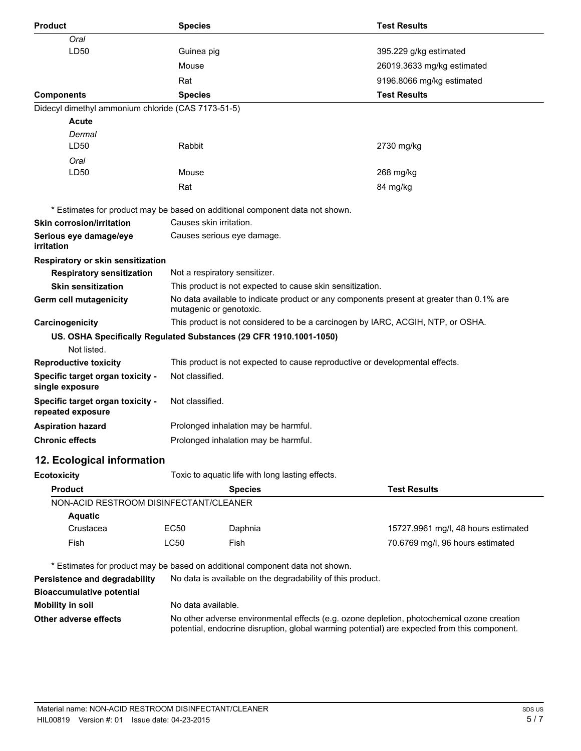| <b>Product</b>                                        | <b>Species</b>                                                                                                                                                                             |                                                                                          | <b>Test Results</b>                 |
|-------------------------------------------------------|--------------------------------------------------------------------------------------------------------------------------------------------------------------------------------------------|------------------------------------------------------------------------------------------|-------------------------------------|
| Oral                                                  |                                                                                                                                                                                            |                                                                                          |                                     |
| LD50                                                  | Guinea pig                                                                                                                                                                                 |                                                                                          | 395.229 g/kg estimated              |
|                                                       | Mouse                                                                                                                                                                                      |                                                                                          | 26019.3633 mg/kg estimated          |
|                                                       | Rat                                                                                                                                                                                        |                                                                                          | 9196.8066 mg/kg estimated           |
| <b>Components</b>                                     | <b>Species</b>                                                                                                                                                                             |                                                                                          | <b>Test Results</b>                 |
| Didecyl dimethyl ammonium chloride (CAS 7173-51-5)    |                                                                                                                                                                                            |                                                                                          |                                     |
| <b>Acute</b>                                          |                                                                                                                                                                                            |                                                                                          |                                     |
| Dermal                                                |                                                                                                                                                                                            |                                                                                          |                                     |
| LD50                                                  | Rabbit                                                                                                                                                                                     |                                                                                          | 2730 mg/kg                          |
| Oral                                                  |                                                                                                                                                                                            |                                                                                          |                                     |
| LD50                                                  | Mouse                                                                                                                                                                                      |                                                                                          | 268 mg/kg                           |
|                                                       | Rat                                                                                                                                                                                        |                                                                                          | 84 mg/kg                            |
|                                                       |                                                                                                                                                                                            | * Estimates for product may be based on additional component data not shown.             |                                     |
| <b>Skin corrosion/irritation</b>                      | Causes skin irritation.                                                                                                                                                                    |                                                                                          |                                     |
| Serious eye damage/eye                                |                                                                                                                                                                                            | Causes serious eye damage.                                                               |                                     |
| irritation                                            |                                                                                                                                                                                            |                                                                                          |                                     |
| Respiratory or skin sensitization                     |                                                                                                                                                                                            |                                                                                          |                                     |
| <b>Respiratory sensitization</b>                      | Not a respiratory sensitizer.                                                                                                                                                              |                                                                                          |                                     |
| <b>Skin sensitization</b>                             |                                                                                                                                                                                            | This product is not expected to cause skin sensitization.                                |                                     |
| Germ cell mutagenicity                                | mutagenic or genotoxic.                                                                                                                                                                    | No data available to indicate product or any components present at greater than 0.1% are |                                     |
| Carcinogenicity                                       |                                                                                                                                                                                            | This product is not considered to be a carcinogen by IARC, ACGIH, NTP, or OSHA.          |                                     |
|                                                       |                                                                                                                                                                                            | US. OSHA Specifically Regulated Substances (29 CFR 1910.1001-1050)                       |                                     |
| Not listed.                                           |                                                                                                                                                                                            |                                                                                          |                                     |
| <b>Reproductive toxicity</b>                          |                                                                                                                                                                                            | This product is not expected to cause reproductive or developmental effects.             |                                     |
| Specific target organ toxicity -<br>single exposure   | Not classified.                                                                                                                                                                            |                                                                                          |                                     |
| Specific target organ toxicity -<br>repeated exposure | Not classified.                                                                                                                                                                            |                                                                                          |                                     |
| <b>Aspiration hazard</b>                              | Prolonged inhalation may be harmful.                                                                                                                                                       |                                                                                          |                                     |
| <b>Chronic effects</b>                                | Prolonged inhalation may be harmful.                                                                                                                                                       |                                                                                          |                                     |
|                                                       |                                                                                                                                                                                            |                                                                                          |                                     |
| 12. Ecological information                            |                                                                                                                                                                                            |                                                                                          |                                     |
| <b>Ecotoxicity</b>                                    |                                                                                                                                                                                            | Toxic to aquatic life with long lasting effects.                                         |                                     |
| <b>Product</b>                                        |                                                                                                                                                                                            | <b>Species</b>                                                                           | <b>Test Results</b>                 |
| NON-ACID RESTROOM DISINFECTANT/CLEANER                |                                                                                                                                                                                            |                                                                                          |                                     |
| <b>Aquatic</b><br>Crustacea                           | <b>EC50</b>                                                                                                                                                                                | Daphnia                                                                                  | 15727.9961 mg/l, 48 hours estimated |
|                                                       |                                                                                                                                                                                            |                                                                                          |                                     |
| Fish                                                  | LC50                                                                                                                                                                                       | Fish                                                                                     | 70.6769 mg/l, 96 hours estimated    |
|                                                       |                                                                                                                                                                                            | * Estimates for product may be based on additional component data not shown.             |                                     |
| Persistence and degradability                         |                                                                                                                                                                                            | No data is available on the degradability of this product.                               |                                     |
| <b>Bioaccumulative potential</b>                      |                                                                                                                                                                                            |                                                                                          |                                     |
| <b>Mobility in soil</b>                               | No data available.                                                                                                                                                                         |                                                                                          |                                     |
| Other adverse effects                                 | No other adverse environmental effects (e.g. ozone depletion, photochemical ozone creation<br>potential, endocrine disruption, global warming potential) are expected from this component. |                                                                                          |                                     |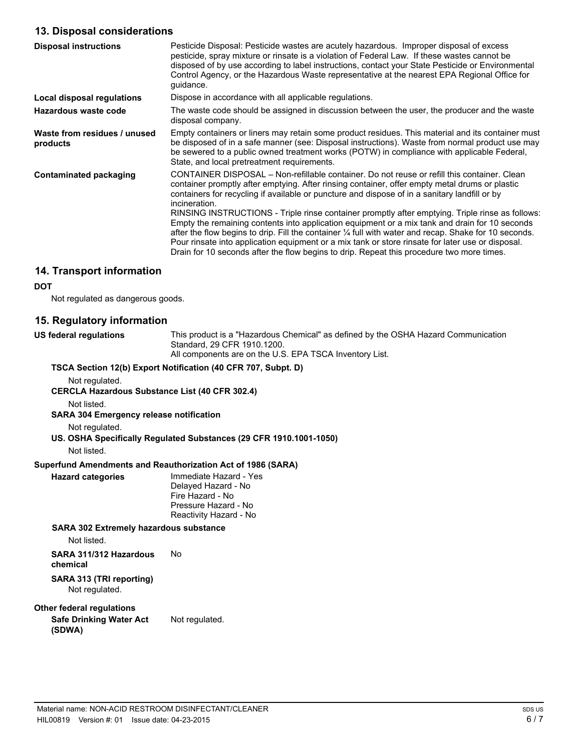## **13. Disposal considerations**

| <b>Disposal instructions</b>             | Pesticide Disposal: Pesticide wastes are acutely hazardous. Improper disposal of excess<br>pesticide, spray mixture or rinsate is a violation of Federal Law. If these wastes cannot be<br>disposed of by use according to label instructions, contact your State Pesticide or Environmental<br>Control Agency, or the Hazardous Waste representative at the nearest EPA Regional Office for<br>quidance.                                                                                                                                                                                                                                                                                                                                                                                                                        |
|------------------------------------------|----------------------------------------------------------------------------------------------------------------------------------------------------------------------------------------------------------------------------------------------------------------------------------------------------------------------------------------------------------------------------------------------------------------------------------------------------------------------------------------------------------------------------------------------------------------------------------------------------------------------------------------------------------------------------------------------------------------------------------------------------------------------------------------------------------------------------------|
| Local disposal regulations               | Dispose in accordance with all applicable regulations.                                                                                                                                                                                                                                                                                                                                                                                                                                                                                                                                                                                                                                                                                                                                                                           |
| Hazardous waste code                     | The waste code should be assigned in discussion between the user, the producer and the waste<br>disposal company.                                                                                                                                                                                                                                                                                                                                                                                                                                                                                                                                                                                                                                                                                                                |
| Waste from residues / unused<br>products | Empty containers or liners may retain some product residues. This material and its container must<br>be disposed of in a safe manner (see: Disposal instructions). Waste from normal product use may<br>be sewered to a public owned treatment works (POTW) in compliance with applicable Federal,<br>State, and local pretreatment requirements.                                                                                                                                                                                                                                                                                                                                                                                                                                                                                |
| Contaminated packaging                   | CONTAINER DISPOSAL – Non-refillable container. Do not reuse or refill this container. Clean<br>container promptly after emptying. After rinsing container, offer empty metal drums or plastic<br>containers for recycling if available or puncture and dispose of in a sanitary landfill or by<br>incineration.<br>RINSING INSTRUCTIONS - Triple rinse container promptly after emptying. Triple rinse as follows:<br>Empty the remaining contents into application equipment or a mix tank and drain for 10 seconds<br>after the flow begins to drip. Fill the container 1/4 full with water and recap. Shake for 10 seconds.<br>Pour rinsate into application equipment or a mix tank or store rinsate for later use or disposal.<br>Drain for 10 seconds after the flow begins to drip. Repeat this procedure two more times. |

## **14. Transport information**

#### **DOT**

Not regulated as dangerous goods.

## **15. Regulatory information**

| US federal regulations                                | This product is a "Hazardous Chemical" as defined by the OSHA Hazard Communication<br>Standard, 29 CFR 1910.1200.<br>All components are on the U.S. EPA TSCA Inventory List. |
|-------------------------------------------------------|------------------------------------------------------------------------------------------------------------------------------------------------------------------------------|
|                                                       | TSCA Section 12(b) Export Notification (40 CFR 707, Subpt. D)                                                                                                                |
| Not regulated.                                        |                                                                                                                                                                              |
| <b>CERCLA Hazardous Substance List (40 CFR 302.4)</b> |                                                                                                                                                                              |
| Not listed.                                           |                                                                                                                                                                              |
| <b>SARA 304 Emergency release notification</b>        |                                                                                                                                                                              |
| Not regulated.                                        |                                                                                                                                                                              |
|                                                       | US. OSHA Specifically Regulated Substances (29 CFR 1910.1001-1050)                                                                                                           |
| Not listed.                                           |                                                                                                                                                                              |
|                                                       | Superfund Amendments and Reauthorization Act of 1986 (SARA)                                                                                                                  |
| <b>Hazard categories</b>                              | Immediate Hazard - Yes<br>Delayed Hazard - No<br>Fire Hazard - No<br>Pressure Hazard - No<br>Reactivity Hazard - No                                                          |
| SARA 302 Extremely hazardous substance                |                                                                                                                                                                              |
| Not listed.                                           |                                                                                                                                                                              |
| SARA 311/312 Hazardous<br>chemical                    | No                                                                                                                                                                           |
| SARA 313 (TRI reporting)<br>Not regulated.            |                                                                                                                                                                              |
| <b>Other federal regulations</b>                      |                                                                                                                                                                              |
| <b>Safe Drinking Water Act</b><br>(SDWA)              | Not regulated.                                                                                                                                                               |